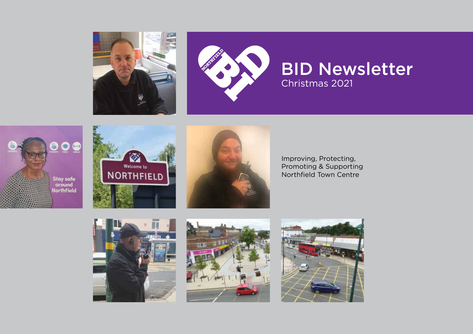











Improving, Protecting, Promoting & Supporting Northfield Town Centre





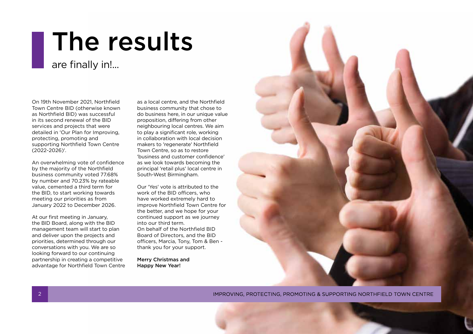## The results

### are finally in!...

On 19th November 2021, Northfield Town Centre BID (otherwise known as Northfield BID) was successful in its second renewal of the BID services and projects that were detailed in 'Our Plan for Improving, protecting, promoting and supporting Northfield Town Centre (2022-2026)'.

An overwhelming vote of confidence by the majority of the Northfield business community voted 77.68% by number and 70.23% by rateable value, cemented a third term for the BID, to start working towards meeting our priorities as from January 2022 to December 2026.

At our first meeting in January, the BID Board, along with the BID management team will start to plan and deliver upon the projects and priorities, determined through our conversations with you. We are so looking forward to our continuing partnership in creating a competitive advantage for Northfield Town Centre as a local centre, and the Northfield business community that chose to do business here, in our unique value proposition, differing from other neighbouring local centres. We aim to play a significant role, working in collaboration with local decision makers to 'regenerate' Northfield Town Centre, so as to restore 'business and customer confidence' as we look towards becoming the principal 'retail plus' local centre in South-West Birmingham.

Our 'Yes' vote is attributed to the work of the BID officers, who have worked extremely hard to improve Northfield Town Centre for the better, and we hope for your continued support as we journey into our third term. On behalf of the Northfield BID Board of Directors, and the BID officers, Marcia, Tony, Tom & Ben thank you for your support.

Merry Christmas and Happy New Year!



IMPROVING, PROTECTING, PROMOTING & SUPPORTING NORTHFIELD TOWN CENTRE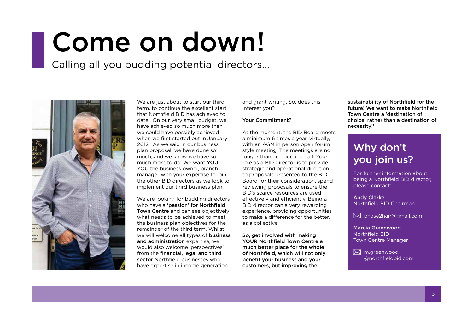## Come on down!

Calling all you budding potential directors...



We are just about to start our third term, to continue the excellent start that Northfield BID has achieved to date. On our very small budget, we have achieved so much more than we could have possibly achieved when we first started out in January 2012. As we said in our business plan proposal, we have done so much, and we know we have so much more to do. We want YOU, YOU the business owner, branch manager with your expertise to join the other BID directors as we look to implement our third business plan.

We are looking for budding directors who have a 'passion' for Northfield Town Centre and can see objectively what needs to be achieved to meet the business plan objectives for the remainder of the third term. Whilst we will welcome all types of **business** and administration expertise, we would also welcome 'perspectives' from the **financial, legal and third** sector Northfield businesses who have expertise in income generation

and grant writing. So, does this interest you?

#### Your Commitment?

At the moment, the BID Board meets a minimum 6 times a year, virtually, with an AGM in person open forum style meeting. The meetings are no longer than an hour and half. Your role as a BID director is to provide strategic and operational direction to proposals presented to the BID Board for their consideration, spend reviewing proposals to ensure the BID's scarce resources are used effectively and efficiently. Being a BID director can a very rewarding experience, providing opportunities to make a difference for the better, as a collective.

So, get involved with making YOUR Northfield Town Centre a much better place for the whole of Northfield, which will not only benefit your business and your customers, but improving the

sustainability of Northfield for the future! We want to make Northfield Town Centre a 'destination of choice, rather than a destination of necessity!'

### Why don't you join us?

For further information about being a Northfield BID director, please contact:

Andy Clarke Northfield BID Chairman

 $\boxtimes$  [phase2hair@gmail.com](mailto:phase2hair%40gmail.com?subject=)

Marcia Greenwood Northfield BID Town Centre Manager

 $\boxtimes$  [m.greenwood](mailto:m.greenwood%40northfieldbid.com?subject=) [@northfieldbid.com](mailto:m.greenwood%40northfieldbid.com?subject=)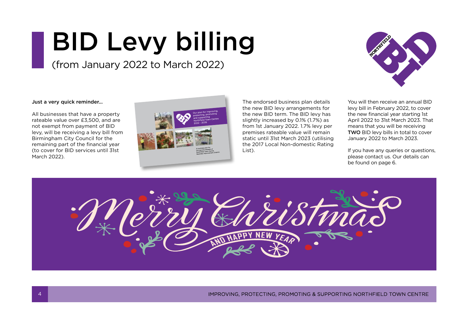# BID Levy billing

(from January 2022 to March 2022)



Just a very quick reminder...

All businesses that have a property rateable value over £3,500, and are not exempt from payment of BID levy, will be receiving a levy bill from Birmingham City Council for the remaining part of the financial year (to cover for BID services until 31st March 2022).



The endorsed business plan details the new BID levy arrangements for the new BID term. The BID levy has slightly increased by 0.1% (1.7%) as from 1st January 2022. 1.7% levy per premises rateable value will remain static until 31st March 2023 (utilising the 2017 Local Non-domestic Rating List).

You will then receive an annual BID levy bill in February 2022, to cover the new financial year starting 1st April 2022 to 31st March 2023. That means that you will be receiving TWO BID levy bills in total to cover January 2022 to March 2023.

If you have any queries or questions, please contact us. Our details can be found on page 6.



IMPROVING, PROTECTING, PROMOTING & SUPPORTING NORTHFIELD TOWN CENTRE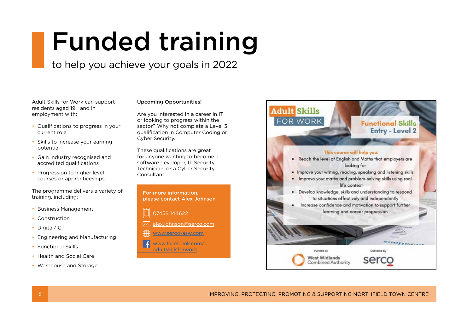## Funded training

### to help you achieve your goals in 2022

Adult Skills for Work can support residents aged 19+ and in employment with:

- Qualifications to progress in your current role
- Skills to increase your earning potential
- Gain industry recognised and accredited qualifications
- Progression to higher level courses or apprenticeships

The programme delivers a variety of training, including:

- Business Management
- Construction
- Digital/ICT
- Engineering and Manufacturing
- Functional Skills
- Health and Social Care
- Warehouse and Storage

#### Upcoming Opportunities!

Are you interested in a career in IT or looking to progress within the sector? Why not complete a Level 3 qualification in Computer Coding or Cyber Security.

These qualifications are great for anyone wanting to become a software developer, IT Security Technician, or a Cyber Security **Consultant** 

For more information, please contact Alex Johnson

07458 144622

- $\bowtie$ [alex.johnson@serco.com](mailto:alex.johnson%40serco.com?subject=)
	- [www.serco-asw.com](http://www.serco-asw.com)
- www.facebook.com/ l fl [adultskillsforwork](http://www.facebook.com/adultskillsforwork)